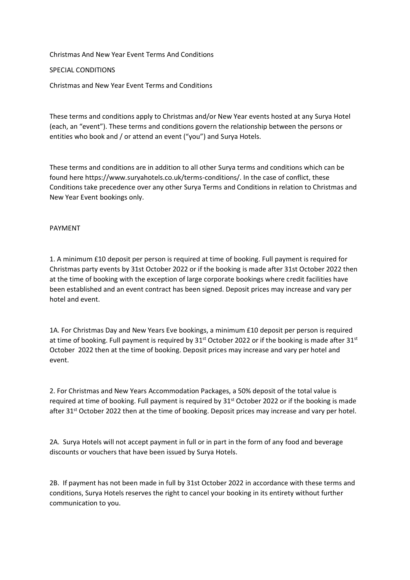Christmas And New Year Event Terms And Conditions

# SPECIAL CONDITIONS

Christmas and New Year Event Terms and Conditions

These terms and conditions apply to Christmas and/or New Year events hosted at any Surya Hotel (each, an "event"). These terms and conditions govern the relationship between the persons or entities who book and / or attend an event ("you") and Surya Hotels.

These terms and conditions are in addition to all other Surya terms and conditions which can be found here https://www.suryahotels.co.uk/terms-conditions/. In the case of conflict, these Conditions take precedence over any other Surya Terms and Conditions in relation to Christmas and New Year Event bookings only.

## PAYMENT

1. A minimum £10 deposit per person is required at time of booking. Full payment is required for Christmas party events by 31st October 2022 or if the booking is made after 31st October 2022 then at the time of booking with the exception of large corporate bookings where credit facilities have been established and an event contract has been signed. Deposit prices may increase and vary per hotel and event.

1A. For Christmas Day and New Years Eve bookings, a minimum £10 deposit per person is required at time of booking. Full payment is required by 31<sup>st</sup> October 2022 or if the booking is made after 31<sup>st</sup> October 2022 then at the time of booking. Deposit prices may increase and vary per hotel and event.

2. For Christmas and New Years Accommodation Packages, a 50% deposit of the total value is required at time of booking. Full payment is required by 31<sup>st</sup> October 2022 or if the booking is made after 31<sup>st</sup> October 2022 then at the time of booking. Deposit prices may increase and vary per hotel.

2A. Surya Hotels will not accept payment in full or in part in the form of any food and beverage discounts or vouchers that have been issued by Surya Hotels.

2B. If payment has not been made in full by 31st October 2022 in accordance with these terms and conditions, Surya Hotels reserves the right to cancel your booking in its entirety without further communication to you.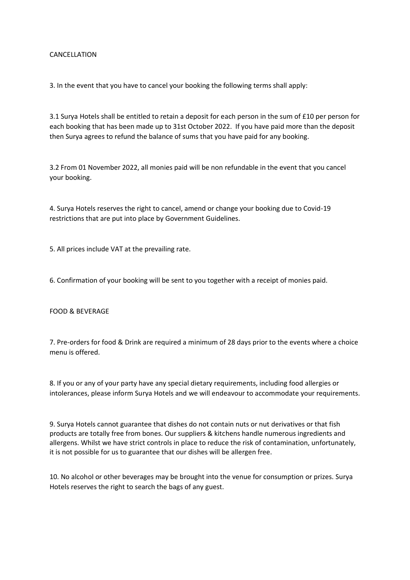## CANCELLATION

3. In the event that you have to cancel your booking the following terms shall apply:

3.1 Surya Hotels shall be entitled to retain a deposit for each person in the sum of £10 per person for each booking that has been made up to 31st October 2022. If you have paid more than the deposit then Surya agrees to refund the balance of sums that you have paid for any booking.

3.2 From 01 November 2022, all monies paid will be non refundable in the event that you cancel your booking.

4. Surya Hotels reserves the right to cancel, amend or change your booking due to Covid-19 restrictions that are put into place by Government Guidelines.

5. All prices include VAT at the prevailing rate.

6. Confirmation of your booking will be sent to you together with a receipt of monies paid.

#### FOOD & BEVERAGE

7. Pre-orders for food & Drink are required a minimum of 28 days prior to the events where a choice menu is offered.

8. If you or any of your party have any special dietary requirements, including food allergies or intolerances, please inform Surya Hotels and we will endeavour to accommodate your requirements.

9. Surya Hotels cannot guarantee that dishes do not contain nuts or nut derivatives or that fish products are totally free from bones. Our suppliers & kitchens handle numerous ingredients and

10. No alcohol or other beverages may be brought into the venue for consumption or prizes. Surya Hotels reserves the right to search the bags of any guest.

allergens. Whilst we have strict controls in place to reduce the risk of contamination, unfortunately, it is not possible for us to guarantee that our dishes will be allergen free.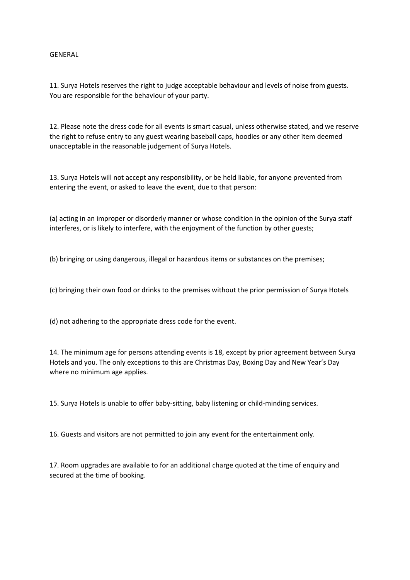### GENERAL

11. Surya Hotels reserves the right to judge acceptable behaviour and levels of noise from guests. You are responsible for the behaviour of your party.

12. Please note the dress code for all events is smart casual, unless otherwise stated, and we reserve the right to refuse entry to any guest wearing baseball caps, hoodies or any other item deemed unacceptable in the reasonable judgement of Surya Hotels.

13. Surya Hotels will not accept any responsibility, or be held liable, for anyone prevented from entering the event, or asked to leave the event, due to that person:

(a) acting in an improper or disorderly manner or whose condition in the opinion of the Surya staff interferes, or is likely to interfere, with the enjoyment of the function by other guests;

(b) bringing or using dangerous, illegal or hazardous items or substances on the premises;

(c) bringing their own food or drinks to the premises without the prior permission of Surya Hotels

(d) not adhering to the appropriate dress code for the event.

14. The minimum age for persons attending events is 18, except by prior agreement between Surya Hotels and you. The only exceptions to this are Christmas Day, Boxing Day and New Year's Day where no minimum age applies.

15. Surya Hotels is unable to offer baby-sitting, baby listening or child-minding services.

16. Guests and visitors are not permitted to join any event for the entertainment only.

17. Room upgrades are available to for an additional charge quoted at the time of enquiry and secured at the time of booking.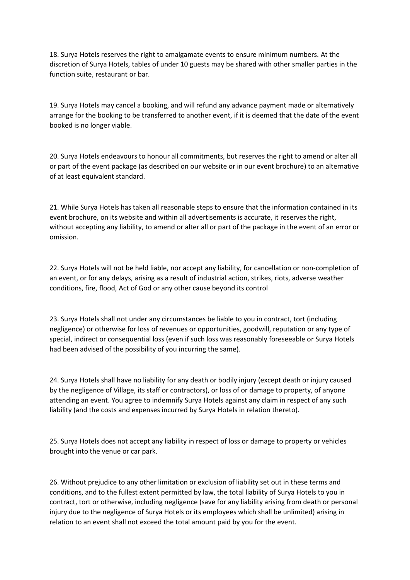18. Surya Hotels reserves the right to amalgamate events to ensure minimum numbers. At the discretion of Surya Hotels, tables of under 10 guests may be shared with other smaller parties in the function suite, restaurant or bar.

19. Surya Hotels may cancel a booking, and will refund any advance payment made or alternatively arrange for the booking to be transferred to another event, if it is deemed that the date of the event booked is no longer viable.

20. Surya Hotels endeavours to honour all commitments, but reserves the right to amend or alter all or part of the event package (as described on our website or in our event brochure) to an alternative of at least equivalent standard.

21. While Surya Hotels has taken all reasonable steps to ensure that the information contained in its event brochure, on its website and within all advertisements is accurate, it reserves the right, without accepting any liability, to amend or alter all or part of the package in the event of an error or omission.

22. Surya Hotels will not be held liable, nor accept any liability, for cancellation or non-completion of an event, or for any delays, arising as a result of industrial action, strikes, riots, adverse weather conditions, fire, flood, Act of God or any other cause beyond its control

23. Surya Hotels shall not under any circumstances be liable to you in contract, tort (including negligence) or otherwise for loss of revenues or opportunities, goodwill, reputation or any type of special, indirect or consequential loss (even if such loss was reasonably foreseeable or Surya Hotels had been advised of the possibility of you incurring the same).

24. Surya Hotels shall have no liability for any death or bodily injury (except death or injury caused by the negligence of Village, its staff or contractors), or loss of or damage to property, of anyone attending an event. You agree to indemnify Surya Hotels against any claim in respect of any such liability (and the costs and expenses incurred by Surya Hotels in relation thereto).

25. Surya Hotels does not accept any liability in respect of loss or damage to property or vehicles brought into the venue or car park.

26. Without prejudice to any other limitation or exclusion of liability set out in these terms and conditions, and to the fullest extent permitted by law, the total liability of Surya Hotels to you in contract, tort or otherwise, including negligence (save for any liability arising from death or personal injury due to the negligence of Surya Hotels or its employees which shall be unlimited) arising in relation to an event shall not exceed the total amount paid by you for the event.